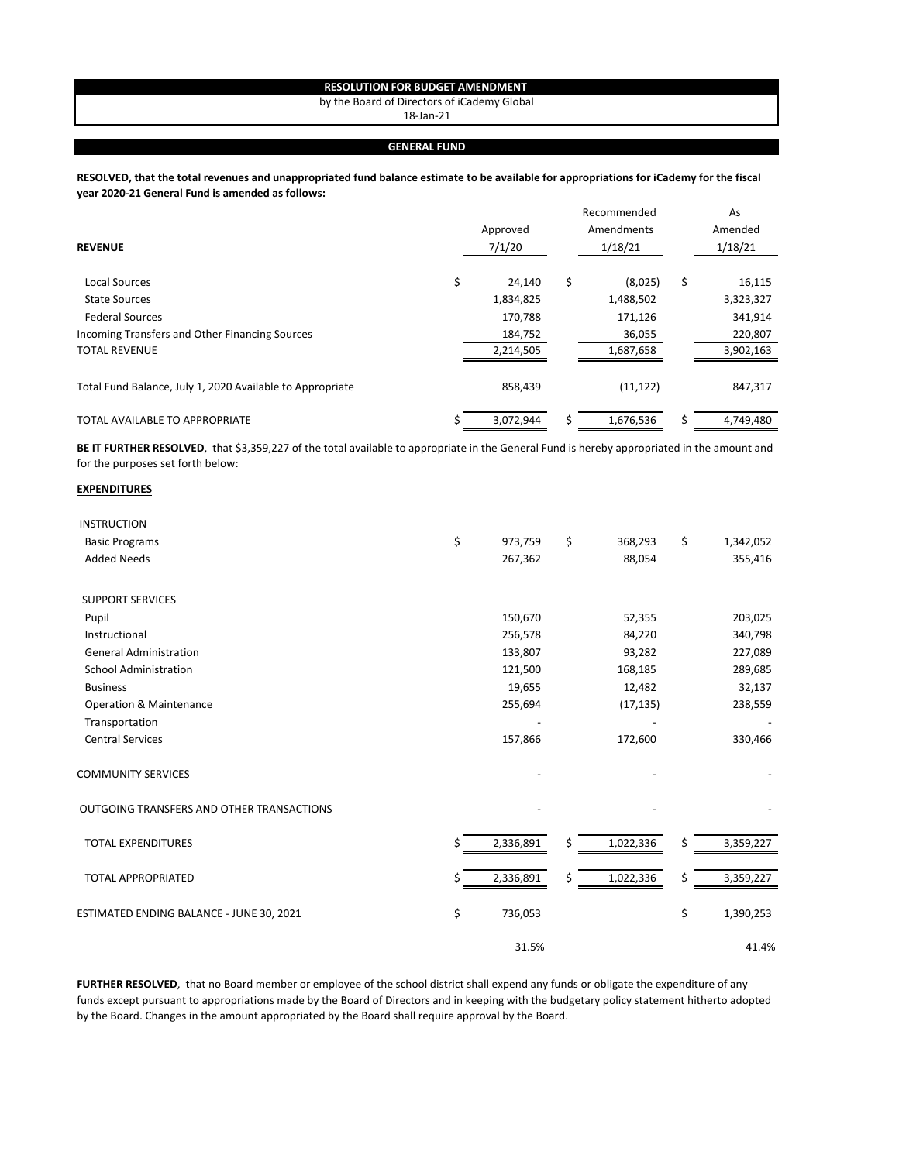## **RESOLUTION FOR BUDGET AMENDMENT**

by the Board of Directors of iCademy Global

18-Jan-21

## **GENERAL FUND**

**RESOLVED, that the total revenues and unappropriated fund balance estimate to be available for appropriations for iCademy for the fiscal year 2020-21 General Fund is amended as follows:**

| <b>REVENUE</b>                                            | Approved<br>7/1/20 |    | Recommended<br>Amendments<br>1/18/21 | As<br>Amended<br>1/18/21 |
|-----------------------------------------------------------|--------------------|----|--------------------------------------|--------------------------|
| <b>Local Sources</b>                                      | \$<br>24.140       | \$ | (8,025)                              | \$<br>16,115             |
| <b>State Sources</b>                                      | 1,834,825          |    | 1,488,502                            | 3,323,327                |
| <b>Federal Sources</b>                                    | 170,788            |    | 171,126                              | 341,914                  |
| Incoming Transfers and Other Financing Sources            | 184,752            |    | 36,055                               | 220,807                  |
| <b>TOTAL REVENUE</b>                                      | 2,214,505          |    | 1,687,658                            | 3,902,163                |
| Total Fund Balance, July 1, 2020 Available to Appropriate | 858,439            |    | (11, 122)                            | 847,317                  |
| TOTAL AVAILABLE TO APPROPRIATE                            | 3,072,944          | Ś. | 1,676,536                            | 4,749,480                |

BE IT FURTHER RESOLVED, that \$3,359,227 of the total available to appropriate in the General Fund is hereby appropriated in the amount and for the purposes set forth below:

## **EXPENDITURES**

| \$<br>\$<br>\$<br>973,759<br>368,293<br><b>Basic Programs</b><br><b>Added Needs</b><br>88,054<br>267,362<br><b>SUPPORT SERVICES</b><br>Pupil<br>150,670<br>52,355<br>Instructional<br>256,578<br>84,220<br><b>General Administration</b><br>133,807<br>93,282<br><b>School Administration</b><br>121,500<br>168,185<br><b>Business</b><br>19,655<br>12,482<br><b>Operation &amp; Maintenance</b><br>255,694<br>(17, 135)<br>Transportation<br><b>Central Services</b><br>157,866<br>172,600<br><b>COMMUNITY SERVICES</b><br>OUTGOING TRANSFERS AND OTHER TRANSACTIONS<br><b>TOTAL EXPENDITURES</b><br>\$<br>\$<br>2,336,891<br>1,022,336<br>S<br>\$<br>2,336,891<br>1,022,336<br><b>TOTAL APPROPRIATED</b><br>Ś<br>Ś<br>\$<br>\$<br>ESTIMATED ENDING BALANCE - JUNE 30, 2021<br>736,053 |           |
|-----------------------------------------------------------------------------------------------------------------------------------------------------------------------------------------------------------------------------------------------------------------------------------------------------------------------------------------------------------------------------------------------------------------------------------------------------------------------------------------------------------------------------------------------------------------------------------------------------------------------------------------------------------------------------------------------------------------------------------------------------------------------------------------|-----------|
|                                                                                                                                                                                                                                                                                                                                                                                                                                                                                                                                                                                                                                                                                                                                                                                         | 1,342,052 |
|                                                                                                                                                                                                                                                                                                                                                                                                                                                                                                                                                                                                                                                                                                                                                                                         | 355,416   |
|                                                                                                                                                                                                                                                                                                                                                                                                                                                                                                                                                                                                                                                                                                                                                                                         |           |
|                                                                                                                                                                                                                                                                                                                                                                                                                                                                                                                                                                                                                                                                                                                                                                                         | 203,025   |
|                                                                                                                                                                                                                                                                                                                                                                                                                                                                                                                                                                                                                                                                                                                                                                                         | 340,798   |
|                                                                                                                                                                                                                                                                                                                                                                                                                                                                                                                                                                                                                                                                                                                                                                                         | 227,089   |
|                                                                                                                                                                                                                                                                                                                                                                                                                                                                                                                                                                                                                                                                                                                                                                                         | 289,685   |
|                                                                                                                                                                                                                                                                                                                                                                                                                                                                                                                                                                                                                                                                                                                                                                                         | 32,137    |
|                                                                                                                                                                                                                                                                                                                                                                                                                                                                                                                                                                                                                                                                                                                                                                                         | 238,559   |
|                                                                                                                                                                                                                                                                                                                                                                                                                                                                                                                                                                                                                                                                                                                                                                                         |           |
|                                                                                                                                                                                                                                                                                                                                                                                                                                                                                                                                                                                                                                                                                                                                                                                         | 330,466   |
|                                                                                                                                                                                                                                                                                                                                                                                                                                                                                                                                                                                                                                                                                                                                                                                         |           |
|                                                                                                                                                                                                                                                                                                                                                                                                                                                                                                                                                                                                                                                                                                                                                                                         |           |
|                                                                                                                                                                                                                                                                                                                                                                                                                                                                                                                                                                                                                                                                                                                                                                                         | 3,359,227 |
|                                                                                                                                                                                                                                                                                                                                                                                                                                                                                                                                                                                                                                                                                                                                                                                         | 3,359,227 |
|                                                                                                                                                                                                                                                                                                                                                                                                                                                                                                                                                                                                                                                                                                                                                                                         | 1,390,253 |
| 31.5%                                                                                                                                                                                                                                                                                                                                                                                                                                                                                                                                                                                                                                                                                                                                                                                   | 41.4%     |

**FURTHER RESOLVED**, that no Board member or employee of the school district shall expend any funds or obligate the expenditure of any funds except pursuant to appropriations made by the Board of Directors and in keeping with the budgetary policy statement hitherto adopted by the Board. Changes in the amount appropriated by the Board shall require approval by the Board.